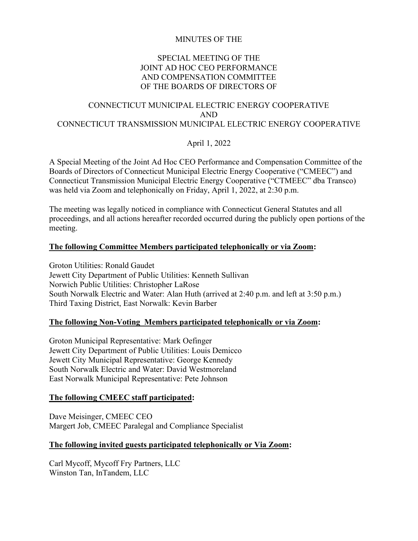### MINUTES OF THE

### SPECIAL MEETING OF THE JOINT AD HOC CEO PERFORMANCE AND COMPENSATION COMMITTEE OF THE BOARDS OF DIRECTORS OF

# CONNECTICUT MUNICIPAL ELECTRIC ENERGY COOPERATIVE AND CONNECTICUT TRANSMISSION MUNICIPAL ELECTRIC ENERGY COOPERATIVE

## April 1, 2022

A Special Meeting of the Joint Ad Hoc CEO Performance and Compensation Committee of the Boards of Directors of Connecticut Municipal Electric Energy Cooperative ("CMEEC") and Connecticut Transmission Municipal Electric Energy Cooperative ("CTMEEC" dba Transco) was held via Zoom and telephonically on Friday, April 1, 2022, at 2:30 p.m.

The meeting was legally noticed in compliance with Connecticut General Statutes and all proceedings, and all actions hereafter recorded occurred during the publicly open portions of the meeting.

### **The following Committee Members participated telephonically or via Zoom:**

Groton Utilities: Ronald Gaudet Jewett City Department of Public Utilities: Kenneth Sullivan Norwich Public Utilities: Christopher LaRose South Norwalk Electric and Water: Alan Huth (arrived at 2:40 p.m. and left at 3:50 p.m.) Third Taxing District, East Norwalk: Kevin Barber

### **The following Non-Voting Members participated telephonically or via Zoom:**

Groton Municipal Representative: Mark Oefinger Jewett City Department of Public Utilities: Louis Demicco Jewett City Municipal Representative: George Kennedy South Norwalk Electric and Water: David Westmoreland East Norwalk Municipal Representative: Pete Johnson

### **The following CMEEC staff participated:**

Dave Meisinger, CMEEC CEO Margert Job, CMEEC Paralegal and Compliance Specialist

#### **The following invited guests participated telephonically or Via Zoom:**

Carl Mycoff, Mycoff Fry Partners, LLC Winston Tan, InTandem, LLC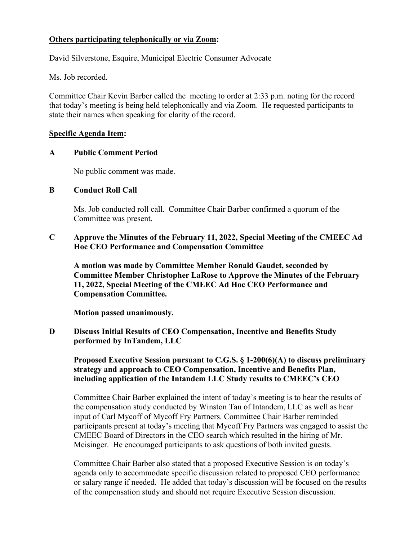### **Others participating telephonically or via Zoom:**

David Silverstone, Esquire, Municipal Electric Consumer Advocate

Ms. Job recorded.

Committee Chair Kevin Barber called the meeting to order at 2:33 p.m. noting for the record that today's meeting is being held telephonically and via Zoom. He requested participants to state their names when speaking for clarity of the record.

#### **Specific Agenda Item:**

#### **A Public Comment Period**

No public comment was made.

### **B Conduct Roll Call**

Ms. Job conducted roll call. Committee Chair Barber confirmed a quorum of the Committee was present.

### **C Approve the Minutes of the February 11, 2022, Special Meeting of the CMEEC Ad Hoc CEO Performance and Compensation Committee**

**A motion was made by Committee Member Ronald Gaudet, seconded by Committee Member Christopher LaRose to Approve the Minutes of the February 11, 2022, Special Meeting of the CMEEC Ad Hoc CEO Performance and Compensation Committee.**

**Motion passed unanimously.**

**D Discuss Initial Results of CEO Compensation, Incentive and Benefits Study performed by InTandem, LLC**

**Proposed Executive Session pursuant to C.G.S. § 1-200(6)(A) to discuss preliminary strategy and approach to CEO Compensation, Incentive and Benefits Plan, including application of the Intandem LLC Study results to CMEEC's CEO**

Committee Chair Barber explained the intent of today's meeting is to hear the results of the compensation study conducted by Winston Tan of Intandem, LLC as well as hear input of Carl Mycoff of Mycoff Fry Partners. Committee Chair Barber reminded participants present at today's meeting that Mycoff Fry Partners was engaged to assist the CMEEC Board of Directors in the CEO search which resulted in the hiring of Mr. Meisinger. He encouraged participants to ask questions of both invited guests.

Committee Chair Barber also stated that a proposed Executive Session is on today's agenda only to accommodate specific discussion related to proposed CEO performance or salary range if needed. He added that today's discussion will be focused on the results of the compensation study and should not require Executive Session discussion.